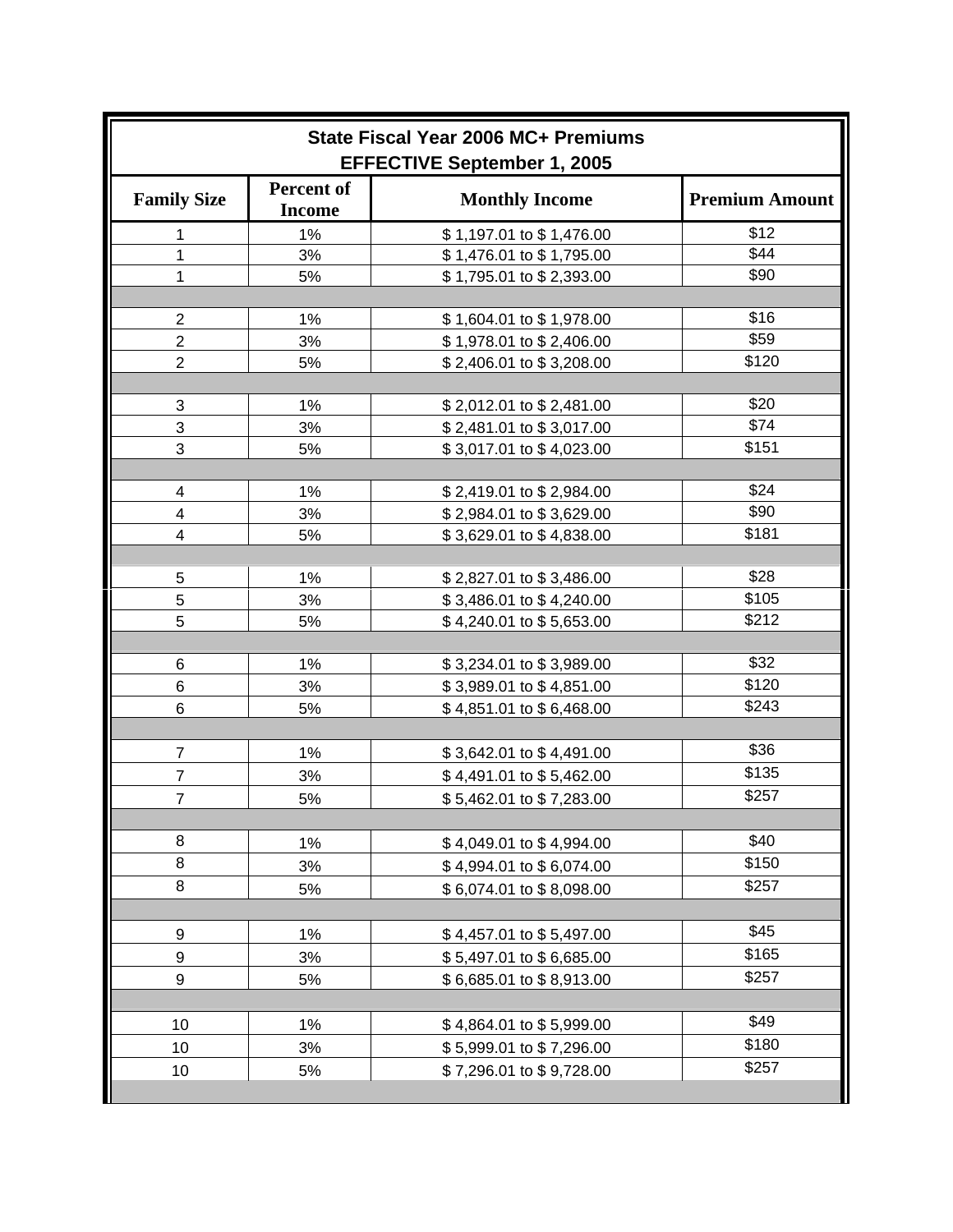| State Fiscal Year 2006 MC+ Premiums<br><b>EFFECTIVE September 1, 2005</b> |                                    |                          |                       |  |
|---------------------------------------------------------------------------|------------------------------------|--------------------------|-----------------------|--|
| <b>Family Size</b>                                                        | <b>Percent of</b><br><b>Income</b> | <b>Monthly Income</b>    | <b>Premium Amount</b> |  |
| 1                                                                         | 1%                                 | \$1,197.01 to \$1,476.00 | \$12                  |  |
| 1                                                                         | 3%                                 | \$1,476.01 to \$1,795.00 | \$44                  |  |
| 1                                                                         | 5%                                 | \$1,795.01 to \$2,393.00 | \$90                  |  |
|                                                                           |                                    |                          |                       |  |
| $\mathbf 2$                                                               | 1%                                 | \$1,604.01 to \$1,978.00 | \$16                  |  |
| $\overline{2}$                                                            | 3%                                 | \$1,978.01 to \$2,406.00 | \$59                  |  |
| $\overline{2}$                                                            | 5%                                 | \$2,406.01 to \$3,208.00 | \$120                 |  |
|                                                                           |                                    |                          |                       |  |
| 3                                                                         | 1%                                 | \$2,012.01 to \$2,481.00 | \$20                  |  |
| 3                                                                         | 3%                                 | \$2,481.01 to \$3,017.00 | \$74                  |  |
| 3                                                                         | 5%                                 | \$3,017.01 to \$4,023.00 | \$151                 |  |
|                                                                           |                                    |                          |                       |  |
| $\overline{\mathbf{4}}$                                                   | 1%                                 | \$2,419.01 to \$2,984.00 | \$24                  |  |
| 4                                                                         | 3%                                 | \$2,984.01 to \$3,629.00 | \$90                  |  |
| $\overline{\mathbf{4}}$                                                   | 5%                                 | \$3,629.01 to \$4,838.00 | \$181                 |  |
|                                                                           |                                    |                          |                       |  |
| 5                                                                         | 1%                                 | \$2,827.01 to \$3,486.00 | \$28                  |  |
| 5                                                                         | 3%                                 | \$3,486.01 to \$4,240.00 | \$105                 |  |
| 5                                                                         | 5%                                 | \$4,240.01 to \$5,653.00 | \$212                 |  |
|                                                                           |                                    |                          |                       |  |
| 6                                                                         | 1%                                 | \$3,234.01 to \$3,989.00 | \$32                  |  |
| 6                                                                         | 3%                                 | \$3,989.01 to \$4,851.00 | \$120                 |  |
| 6                                                                         | 5%                                 | \$4,851.01 to \$6,468.00 | \$243                 |  |
|                                                                           |                                    |                          |                       |  |
| $\overline{7}$                                                            | 1%                                 | \$3,642.01 to \$4,491.00 | \$36                  |  |
| $\overline{7}$                                                            | 3%                                 | \$4,491.01 to \$5,462.00 | \$135                 |  |
| $\overline{7}$                                                            | 5%                                 |                          | \$257                 |  |
|                                                                           |                                    | \$5,462.01 to \$7,283.00 |                       |  |
| 8                                                                         |                                    |                          | \$40                  |  |
| 8                                                                         | 1%                                 | \$4,049.01 to \$4,994.00 | \$150                 |  |
|                                                                           | 3%                                 | \$4,994.01 to \$6,074.00 |                       |  |
| 8                                                                         | 5%                                 | \$6,074.01 to \$8,098.00 | \$257                 |  |
|                                                                           |                                    |                          |                       |  |
| 9                                                                         | 1%                                 | \$4,457.01 to \$5,497.00 | \$45                  |  |
| 9                                                                         | 3%                                 | \$5,497.01 to \$6,685.00 | \$165                 |  |
| 9                                                                         | 5%                                 | \$6,685.01 to \$8,913.00 | \$257                 |  |
|                                                                           |                                    |                          |                       |  |
| 10                                                                        | 1%                                 | \$4,864.01 to \$5,999.00 | \$49                  |  |
| 10                                                                        | 3%                                 | \$5,999.01 to \$7,296.00 | \$180                 |  |
| 10                                                                        | 5%                                 | \$7,296.01 to \$9,728.00 | \$257                 |  |
|                                                                           |                                    |                          |                       |  |